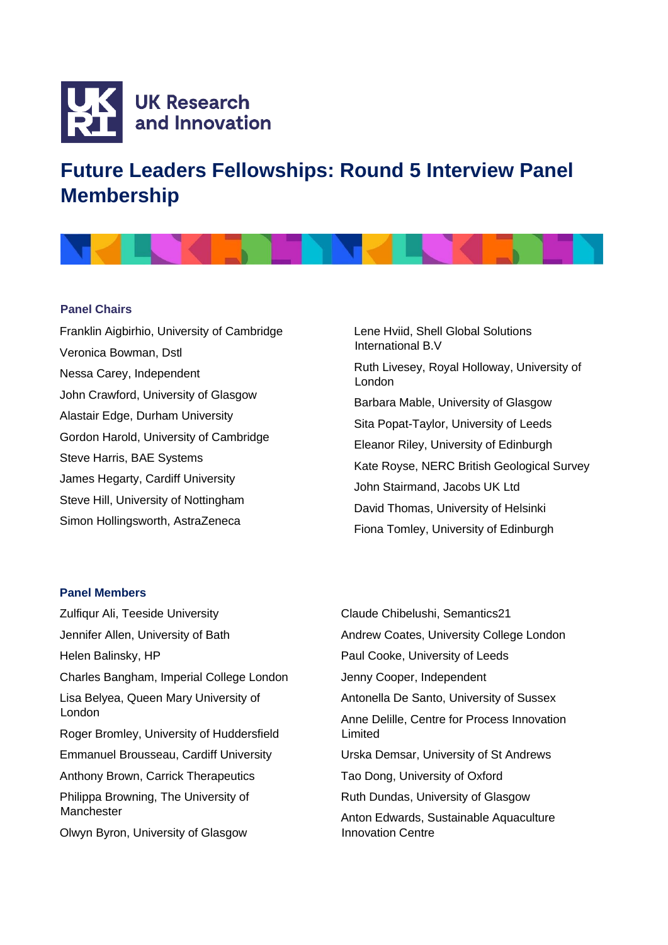

## **Future Leaders Fellowships: Round 5 Interview Panel Membership**



## **Panel Chairs**

Franklin Aigbirhio, University of Cambridge Veronica Bowman, Dstl Nessa Carey, Independent John Crawford, University of Glasgow Alastair Edge, Durham University Gordon Harold, University of Cambridge Steve Harris, BAE Systems James Hegarty, Cardiff University Steve Hill, University of Nottingham Simon Hollingsworth, AstraZeneca

Lene Hviid, Shell Global Solutions International B.V Ruth Livesey, Royal Holloway, University of London Barbara Mable, University of Glasgow Sita Popat-Taylor, University of Leeds Eleanor Riley, University of Edinburgh Kate Royse, NERC British Geological Survey John Stairmand, Jacobs UK Ltd David Thomas, University of Helsinki Fiona Tomley, University of Edinburgh

## **Panel Members**

Zulfiqur Ali, Teeside University Jennifer Allen, University of Bath Helen Balinsky, HP Charles Bangham, Imperial College London Lisa Belyea, Queen Mary University of London Roger Bromley, University of Huddersfield Emmanuel Brousseau, Cardiff University Anthony Brown, Carrick Therapeutics Philippa Browning, The University of **Manchester** Olwyn Byron, University of Glasgow

Claude Chibelushi, Semantics21 Andrew Coates, University College London Paul Cooke, University of Leeds Jenny Cooper, Independent Antonella De Santo, University of Sussex Anne Delille, Centre for Process Innovation Limited Urska Demsar, University of St Andrews Tao Dong, University of Oxford Ruth Dundas, University of Glasgow Anton Edwards, Sustainable Aquaculture Innovation Centre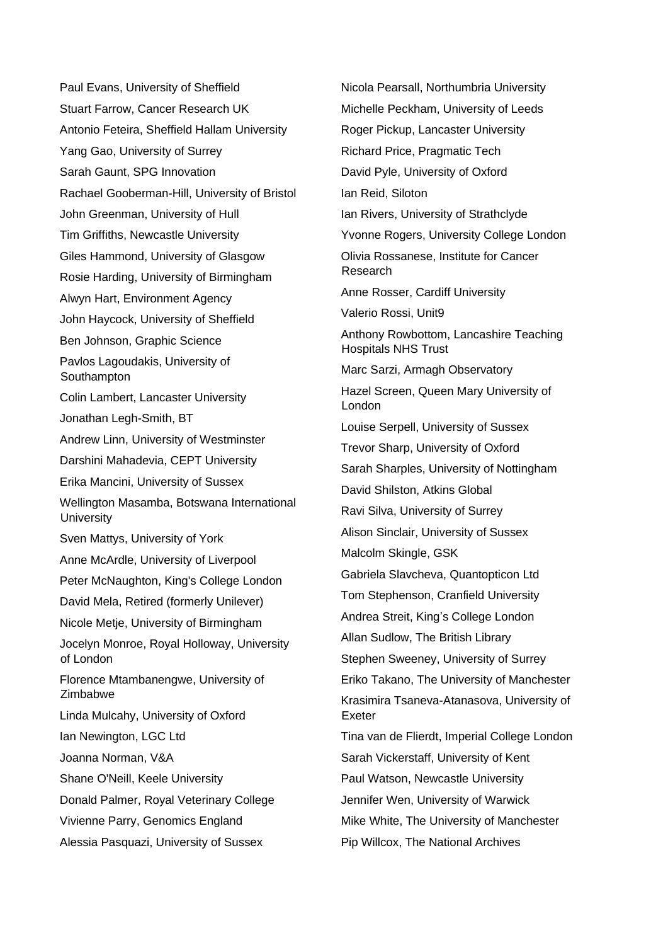Paul Evans, University of Sheffield Stuart Farrow, Cancer Research UK Antonio Feteira, Sheffield Hallam University Yang Gao, University of Surrey Sarah Gaunt, SPG Innovation Rachael Gooberman-Hill, University of Bristol John Greenman, University of Hull Tim Griffiths, Newcastle University Giles Hammond, University of Glasgow Rosie Harding, University of Birmingham Alwyn Hart, Environment Agency John Haycock, University of Sheffield Ben Johnson, Graphic Science Pavlos Lagoudakis, University of Southampton Colin Lambert, Lancaster University Jonathan Legh-Smith, BT Andrew Linn, University of Westminster Darshini Mahadevia, CEPT University Erika Mancini, University of Sussex Wellington Masamba, Botswana International **University** Sven Mattys, University of York Anne McArdle, University of Liverpool Peter McNaughton, King's College London David Mela, Retired (formerly Unilever) Nicole Metje, University of Birmingham Jocelyn Monroe, Royal Holloway, University of London Florence Mtambanengwe, University of Zimbabwe Linda Mulcahy, University of Oxford Ian Newington, LGC Ltd Joanna Norman, V&A Shane O'Neill, Keele University Donald Palmer, Royal Veterinary College Vivienne Parry, Genomics England Alessia Pasquazi, University of Sussex

Nicola Pearsall, Northumbria University Michelle Peckham, University of Leeds Roger Pickup, Lancaster University Richard Price, Pragmatic Tech David Pyle, University of Oxford Ian Reid, Siloton Ian Rivers, University of Strathclyde Yvonne Rogers, University College London Olivia Rossanese, Institute for Cancer Research Anne Rosser, Cardiff University Valerio Rossi, Unit9 Anthony Rowbottom, Lancashire Teaching Hospitals NHS Trust Marc Sarzi, Armagh Observatory Hazel Screen, Queen Mary University of London Louise Serpell, University of Sussex Trevor Sharp, University of Oxford Sarah Sharples, University of Nottingham David Shilston, Atkins Global Ravi Silva, University of Surrey Alison Sinclair, University of Sussex Malcolm Skingle, GSK Gabriela Slavcheva, Quantopticon Ltd Tom Stephenson, Cranfield University Andrea Streit, King's College London Allan Sudlow, The British Library Stephen Sweeney, University of Surrey Eriko Takano, The University of Manchester Krasimira Tsaneva-Atanasova, University of Exeter Tina van de Flierdt, Imperial College London Sarah Vickerstaff, University of Kent Paul Watson, Newcastle University Jennifer Wen, University of Warwick Mike White, The University of Manchester Pip Willcox, The National Archives